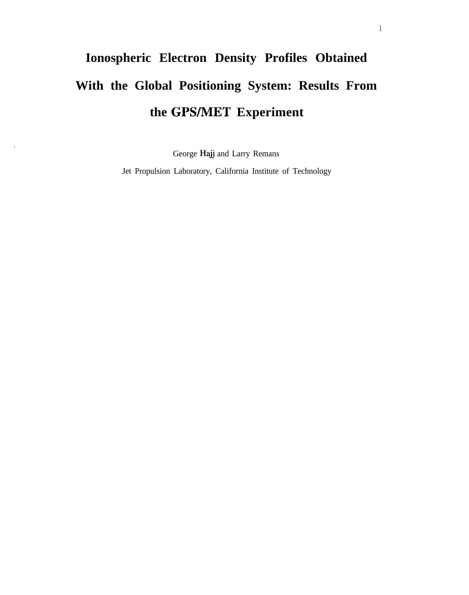# **Ionospheric Electron Density Profiles Obtained With the Global Positioning System: Results From** the GPS/MET Experiment

George Hajj and Larry Remans

Jet Propulsion Laboratory, California Institute of Technology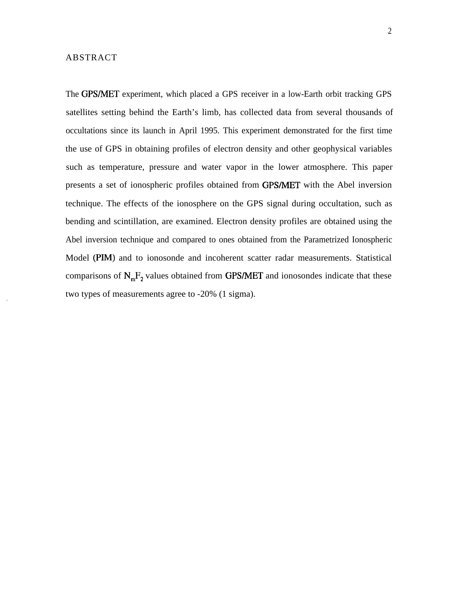#### ABSTRACT

The GPS/MET experiment, which placed a GPS receiver in a low-Earth orbit tracking GPS satellites setting behind the Earth's limb, has collected data from several thousands of occultations since its launch in April 1995. This experiment demonstrated for the first time the use of GPS in obtaining profiles of electron density and other geophysical variables such as temperature, pressure and water vapor in the lower atmosphere. This paper presents a set of ionospheric profiles obtained from GPWMET with the Abel inversion technique. The effects of the ionosphere on the GPS signal during occultation, such as bending and scintillation, are examined. Electron density profiles are obtained using the Abel inversion technique and compared to ones obtained from the Parametrized Ionospheric Model (PIM) and to ionosonde and incoherent scatter radar measurements. Statistical comparisons of  $N_mF_2$  values obtained from GPS/MET and ionosondes indicate that these two types of measurements agree to -20% (1 sigma).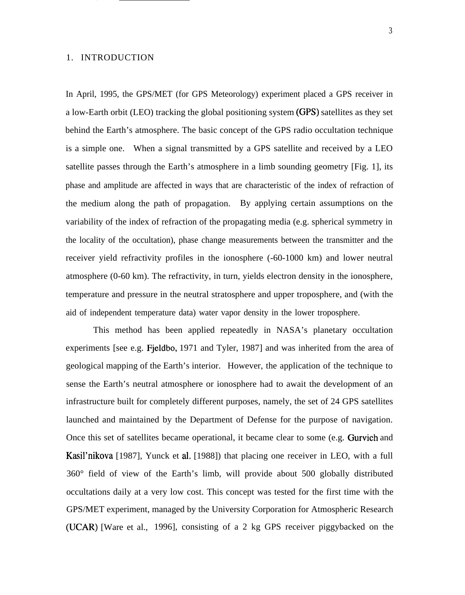#### 1. INTRODUCTION

In April, 1995, the GPS/MET (for GPS Meteorology) experiment placed a GPS receiver in a low-Earth orbit (LEO) tracking the global positioning system (GPS) satellites as they set behind the Earth's atmosphere. The basic concept of the GPS radio occultation technique is a simple one. When a signal transmitted by a GPS satellite and received by a LEO satellite passes through the Earth's atmosphere in a limb sounding geometry [Fig. 1], its phase and amplitude are affected in ways that are characteristic of the index of refraction of the medium along the path of propagation. By applying certain assumptions on the variability of the index of refraction of the propagating media (e.g. spherical symmetry in the locality of the occultation), phase change measurements between the transmitter and the receiver yield refractivity profiles in the ionosphere (-60-1000 km) and lower neutral atmosphere (0-60 km). The refractivity, in turn, yields electron density in the ionosphere, temperature and pressure in the neutral stratosphere and upper troposphere, and (with the aid of independent temperature data) water vapor density in the lower troposphere.

This method has been applied repeatedly in NASA's planetary occultation experiments [see e.g. Fjeldbo, 1971 and Tyler, 1987] and was inherited from the area of geological mapping of the Earth's interior. However, the application of the technique to sense the Earth's neutral atmosphere or ionosphere had to await the development of an infrastructure built for completely different purposes, namely, the set of 24 GPS satellites launched and maintained by the Department of Defense for the purpose of navigation. Once this set of satellites became operational, it became clear to some (e.g. Gurvich and Kasil'nikova [1987], Yunck et al. [1988]) that placing one receiver in LEO, with a full 360° field of view of the Earth's limb, will provide about 500 globally distributed occultations daily at a very low cost. This concept was tested for the first time with the GPS/MET experiment, managed by the University Corporation for Atmospheric Research (UCAR) [Ware et al., 1996], consisting of a 2 kg GPS receiver piggybacked on the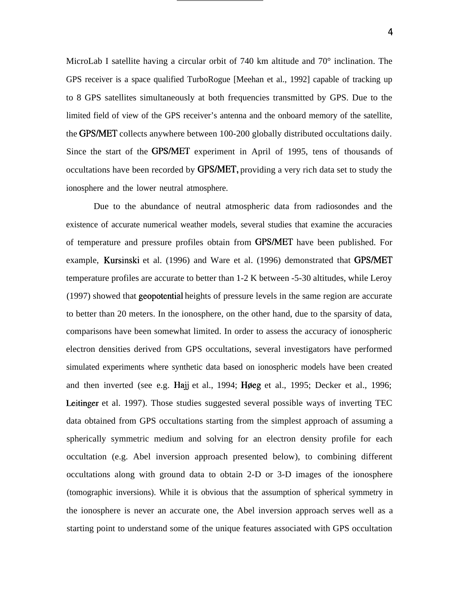MicroLab I satellite having a circular orbit of 740 km altitude and 70° inclination. The GPS receiver is a space qualified TurboRogue [Meehan et al., 1992] capable of tracking up to 8 GPS satellites simultaneously at both frequencies transmitted by GPS. Due to the limited field of view of the GPS receiver's antenna and the onboard memory of the satellite, the GPS/MET collects anywhere between 100-200 globally distributed occultations daily. Since the start of the GPS/MET experiment in April of 1995, tens of thousands of occultations have been recorded by GPS/MET, providing a very rich data set to study the ionosphere and the lower neutral atmosphere.

Due to the abundance of neutral atmospheric data from radiosondes and the existence of accurate numerical weather models, several studies that examine the accuracies of temperature and pressure profiles obtain from GPSIMET have been published. For example, Kursinski et al. (1996) and Ware et al. (1996) demonstrated that GPS/MET temperature profiles are accurate to better than 1-2 K between -5-30 altitudes, while Leroy (1997) showed that geopotential heights of pressure levels in the same region are accurate to better than 20 meters. In the ionosphere, on the other hand, due to the sparsity of data, comparisons have been somewhat limited. In order to assess the accuracy of ionospheric electron densities derived from GPS occultations, several investigators have performed simulated experiments where synthetic data based on ionospheric models have been created and then inverted (see e.g. Hajj et al., 1994;  $H\beta$ eg et al., 1995; Decker et al., 1996; Leitinger et al. 1997). Those studies suggested several possible ways of inverting TEC data obtained from GPS occultations starting from the simplest approach of assuming a spherically symmetric medium and solving for an electron density profile for each occultation (e.g. Abel inversion approach presented below), to combining different occultations along with ground data to obtain 2-D or 3-D images of the ionosphere (tomographic inversions). While it is obvious that the assumption of spherical symmetry in the ionosphere is never an accurate one, the Abel inversion approach serves well as a starting point to understand some of the unique features associated with GPS occultation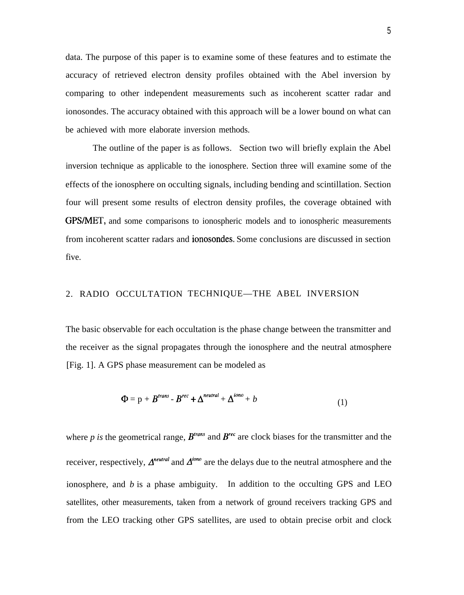data. The purpose of this paper is to examine some of these features and to estimate the accuracy of retrieved electron density profiles obtained with the Abel inversion by comparing to other independent measurements such as incoherent scatter radar and ionosondes. The accuracy obtained with this approach will be a lower bound on what can be achieved with more elaborate inversion methods.

The outline of the paper is as follows. Section two will briefly explain the Abel inversion technique as applicable to the ionosphere. Section three will examine some of the effects of the ionosphere on occulting signals, including bending and scintillation. Section four will present some results of electron density profiles, the coverage obtained with GPS/MET, and some comparisons to ionospheric models and to ionospheric measurements from incoherent scatter radars and ionosondes. Some conclusions are discussed in section five.

# 2. RADIO OCCULTATION TECHNIQUE—THE ABEL INVERSION

The basic observable for each occultation is the phase change between the transmitter and the receiver as the signal propagates through the ionosphere and the neutral atmosphere [Fig. 1]. A GPS phase measurement can be modeled as

$$
\Phi = p + B^{trans} - B^{rec} + \Delta^{neutral} + \Delta^{iono} + b \tag{1}
$$

where  $p$  is the geometrical range,  $B<sup>trans</sup>$  and  $B<sup>rec</sup>$  are clock biases for the transmitter and the receiver, respectively,  $\Delta^{neutral}$  and  $\Delta^{ion}$  are the delays due to the neutral atmosphere and the ionosphere, and *b* is a phase ambiguity. In addition to the occulting GPS and LEO satellites, other measurements, taken from a network of ground receivers tracking GPS and from the LEO tracking other GPS satellites, are used to obtain precise orbit and clock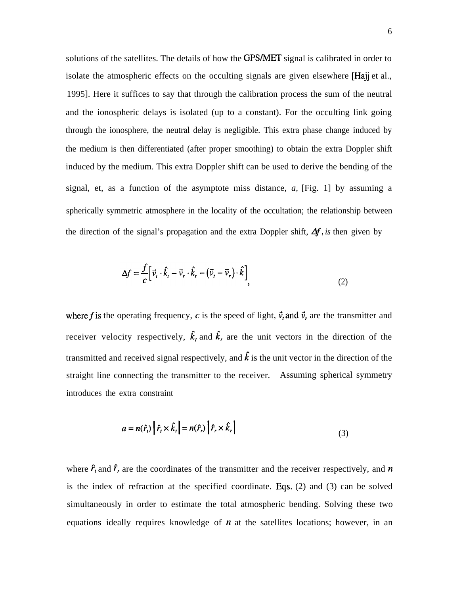solutions of the satellites. The details of how the GPS/MET signal is calibrated in order to isolate the atmospheric effects on the occulting signals are given elsewhere [Hajj et al., 1995]. Here it suffices to say that through the calibration process the sum of the neutral and the ionospheric delays is isolated (up to a constant). For the occulting link going through the ionosphere, the neutral delay is negligible. This extra phase change induced by the medium is then differentiated (after proper smoothing) to obtain the extra Doppler shift induced by the medium. This extra Doppler shift can be used to derive the bending of the signal, et, as a function of the asymptote miss distance, *a,* [Fig. 1] by assuming a spherically symmetric atmosphere in the locality of the occultation; the relationship between the direction of the signal's propagation and the extra Doppler shift, *Af, is* then given by

$$
\Delta f = \frac{f}{c} \left[ \vec{v}_t \cdot \hat{k}_t - \vec{v}_r \cdot \hat{k}_r - (\vec{v}_t - \vec{v}_r) \cdot \hat{k} \right],\tag{2}
$$

where f is the operating frequency, c is the speed of light,  $\vec{v}$  and  $\vec{v}$ , are the transmitter and receiver velocity respectively,  $\hat{k}_t$  and  $\hat{k}_r$  are the unit vectors in the direction of the transmitted and received signal respectively, and  $\hat{k}$  is the unit vector in the direction of the straight line connecting the transmitter to the receiver. Assuming spherical symmetry introduces the extra constraint

$$
a = n(\hat{r}_i) \left| \hat{r}_i \times \hat{k}_i \right| = n(\hat{r}_i) \left| \hat{r}_i \times \hat{k}_i \right| \tag{3}
$$

where  $\hat{r}_t$  and  $\hat{r}_r$  are the coordinates of the transmitter and the receiver respectively, and n is the index of refraction at the specified coordinate. Eqs. (2) and (3) can be solved simultaneously in order to estimate the total atmospheric bending. Solving these two equations ideally requires knowledge of  $n$  at the satellites locations; however, in an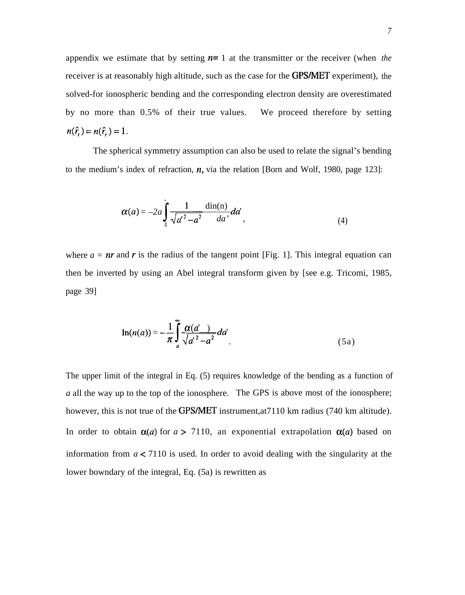appendix we estimate that by setting  $n=1$  at the transmitter or the receiver (when *the* receiver is at reasonably high altitude, such as the case for the GPS/MET experiment), the solved-for ionospheric bending and the corresponding electron density are overestimated by no more than 0.5% of their true values. We proceed therefore by setting  $n(\hat{r}_r) = n(\hat{r}_r) = 1$ .

The spherical symmetry assumption can also be used to relate the signal's bending to the medium's index of refraction,  $n$ , via the relation [Born and Wolf, 1980, page 123]:

$$
\alpha(a) = -2a \int_{a}^{a} \frac{1}{\sqrt{a'^{2}-a^{2}}} \frac{\dim(n)}{da'} da', \qquad (4)
$$

where  $a = nr$  and r is the radius of the tangent point [Fig. 1]. This integral equation can then be inverted by using an Abel integral transform given by [see e.g. Tricomi, 1985, page 39]

$$
\ln(n(a)) = -\frac{1}{\pi} \int_{a}^{\infty} \frac{\alpha(a')}{\sqrt{a'^2 - a^2}} da' \tag{5a}
$$

The upper limit of the integral in Eq. (5) requires knowledge of the bending as a function of *a* all the way up to the top of the ionosphere. The GPS is above most of the ionosphere; however, this is not true of the GPS/MET instrument, at 7110 km radius (740 km altitude). In order to obtain  $\alpha(a)$  for  $a > 7110$ , an exponential extrapolation  $\alpha(a)$  based on information from  $a < 7110$  is used. In order to avoid dealing with the singularity at the lower bowndary of the integral, Eq. (5a) is rewritten as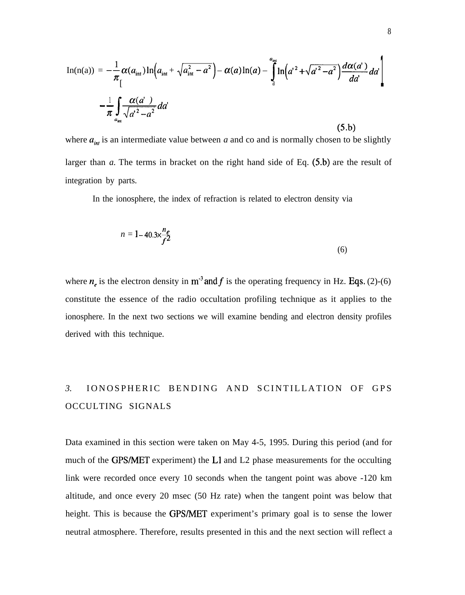$$
\ln(n(a)) = -\frac{1}{\pi} \alpha(a_{int}) \ln \left( a_{int} + \sqrt{a_{int}^2 - a^2} \right) - \alpha(a) \ln(a) - \int_{a}^{a_{int}} \ln \left( a'^2 + \sqrt{a'^2 - a^2} \right) \frac{d\alpha(a')}{da'} da' \Bigg|
$$

$$
- \frac{1}{\pi} \int_{a_{int}} \frac{\alpha(a')}{\sqrt{a'^2 - a^2}} da' \tag{5.b}
$$

where  $a_{\text{int}}$  is an intermediate value between *a* and co and is normally chosen to be slightly larger than *a.* The terms in bracket on the right hand side of Eq. (5.b) are the result of integration by parts.

In the ionosphere, the index of refraction is related to electron density via

$$
n = 1 - 40.3 \times \frac{n_e}{f^2}
$$
 (6)

where  $n<sub>e</sub>$  is the electron density in  $m<sup>-3</sup>$  and f is the operating frequency in Hz. Eqs. (2)-(6) constitute the essence of the radio occultation profiling technique as it applies to the ionosphere. In the next two sections we will examine bending and electron density profiles derived with this technique.

# 3. IONOSPHERIC BENDING AND SCINTILLATION OF GPS OCCULTING SIGNALS

Data examined in this section were taken on May 4-5, 1995. During this period (and for much of the GPS/MET experiment) the L1 and L2 phase measurements for the occulting link were recorded once every 10 seconds when the tangent point was above -120 km altitude, and once every 20 msec (50 Hz rate) when the tangent point was below that height. This is because the GPS/MET experiment's primary goal is to sense the lower neutral atmosphere. Therefore, results presented in this and the next section will reflect a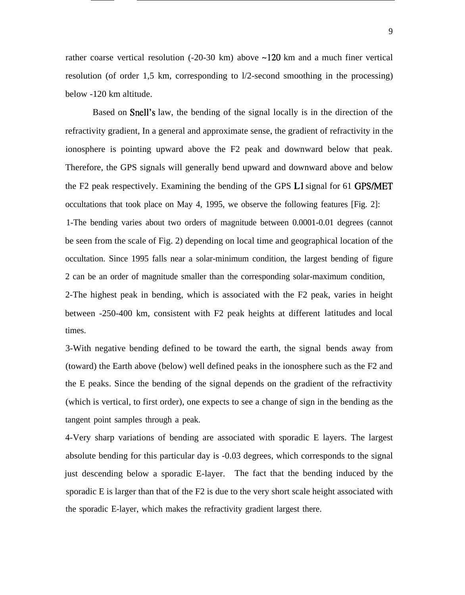rather coarse vertical resolution  $(-20-30 \text{ km})$  above  $\sim 120 \text{ km}$  and a much finer vertical resolution (of order 1,5 km, corresponding to l/2-second smoothing in the processing) below -120 km altitude.

Based on Snell's law, the bending of the signal locally is in the direction of the refractivity gradient, In a general and approximate sense, the gradient of refractivity in the ionosphere is pointing upward above the F2 peak and downward below that peak. Therefore, the GPS signals will generally bend upward and downward above and below the F2 peak respectively. Examining the bending of the GPS L1 signal for 61 GPS/MET occultations that took place on May 4, 1995, we observe the following features [Fig. 2]: 1-The bending varies about two orders of magnitude between 0.0001-0.01 degrees (cannot be seen from the scale of Fig. 2) depending on local time and geographical location of the occultation. Since 1995 falls near a solar-minimum condition, the largest bending of figure 2 can be an order of magnitude smaller than the corresponding solar-maximum condition, 2-The highest peak in bending, which is associated with the F2 peak, varies in height between -250-400 km, consistent with F2 peak heights at different latitudes and local times.

3-With negative bending defined to be toward the earth, the signal bends away from (toward) the Earth above (below) well defined peaks in the ionosphere such as the F2 and the E peaks. Since the bending of the signal depends on the gradient of the refractivity (which is vertical, to first order), one expects to see a change of sign in the bending as the tangent point samples through a peak.

4-Very sharp variations of bending are associated with sporadic E layers. The largest absolute bending for this particular day is -0.03 degrees, which corresponds to the signal just descending below a sporadic E-layer. The fact that the bending induced by the sporadic E is larger than that of the F2 is due to the very short scale height associated with the sporadic E-layer, which makes the refractivity gradient largest there.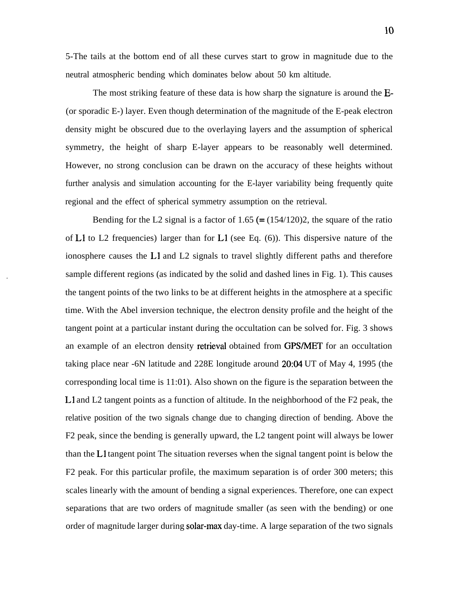5-The tails at the bottom end of all these curves start to grow in magnitude due to the neutral atmospheric bending which dominates below about 50 km altitude.

The most striking feature of these data is how sharp the signature is around the E- (or sporadic E-) layer. Even though determination of the magnitude of the E-peak electron density might be obscured due to the overlaying layers and the assumption of spherical symmetry, the height of sharp E-layer appears to be reasonably well determined. However, no strong conclusion can be drawn on the accuracy of these heights without further analysis and simulation accounting for the E-layer variability being frequently quite regional and the effect of spherical symmetry assumption on the retrieval.

Bending for the L2 signal is a factor of  $1.65$  (=  $(154/120)$ ), the square of the ratio of L1 to L2 frequencies) larger than for L1 (see Eq.  $(6)$ ). This dispersive nature of the ionosphere causes the L1 and L2 signals to travel slightly different paths and therefore sample different regions (as indicated by the solid and dashed lines in Fig. 1). This causes the tangent points of the two links to be at different heights in the atmosphere at a specific time. With the Abel inversion technique, the electron density profile and the height of the tangent point at a particular instant during the occultation can be solved for. Fig. 3 shows an example of an electron density retrieval obtained from GPS/MET for an occultation taking place near -6N latitude and 228E longitude around 20:04 UT of May 4, 1995 (the corresponding local time is 11:01). Also shown on the figure is the separation between the L1 and L2 tangent points as a function of altitude. In the neighborhood of the F2 peak, the relative position of the two signals change due to changing direction of bending. Above the F2 peak, since the bending is generally upward, the L2 tangent point will always be lower than the L1 tangent point The situation reverses when the signal tangent point is below the F2 peak. For this particular profile, the maximum separation is of order 300 meters; this scales linearly with the amount of bending a signal experiences. Therefore, one can expect separations that are two orders of magnitude smaller (as seen with the bending) or one order of magnitude larger during solar-max day-time. A large separation of the two signals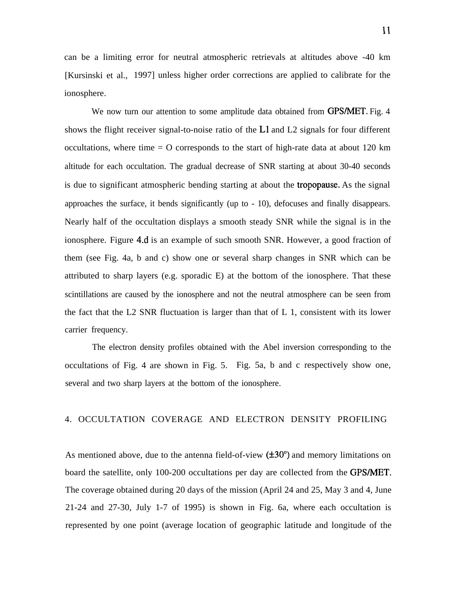can be a limiting error for neutral atmospheric retrievals at altitudes above -40 km [Kursinski et al., 1997] unless higher order corrections are applied to calibrate for the ionosphere.

We now turn our attention to some amplitude data obtained from GPS/MET. Fig. 4 shows the flight receiver signal-to-noise ratio of the L1 and L2 signals for four different occultations, where time  $=$  O corresponds to the start of high-rate data at about 120 km altitude for each occultation. The gradual decrease of SNR starting at about 30-40 seconds is due to significant atmospheric bending starting at about the tropopause. As the signal approaches the surface, it bends significantly (up to - 10), defocuses and finally disappears. Nearly half of the occultation displays a smooth steady SNR while the signal is in the ionosphere. Figure 4.d is an example of such smooth SNR. However, a good fraction of them (see Fig. 4a, b and c) show one or several sharp changes in SNR which can be attributed to sharp layers (e.g. sporadic E) at the bottom of the ionosphere. That these scintillations are caused by the ionosphere and not the neutral atmosphere can be seen from the fact that the L2 SNR fluctuation is larger than that of L 1, consistent with its lower carrier frequency.

The electron density profiles obtained with the Abel inversion corresponding to the occultations of Fig. 4 are shown in Fig. 5. Fig. 5a, b and c respectively show one, several and two sharp layers at the bottom of the ionosphere.

#### 4. OCCULTATION COVERAGE AND ELECTRON DENSITY PROFILING

As mentioned above, due to the antenna field-of-view  $(\pm 30^{\circ})$  and memory limitations on board the satellite, only 100-200 occultations per day are collected from the GPS/MET. The coverage obtained during 20 days of the mission (April 24 and 25, May 3 and 4, June 21-24 and 27-30, July 1-7 of 1995) is shown in Fig. 6a, where each occultation is represented by one point (average location of geographic latitude and longitude of the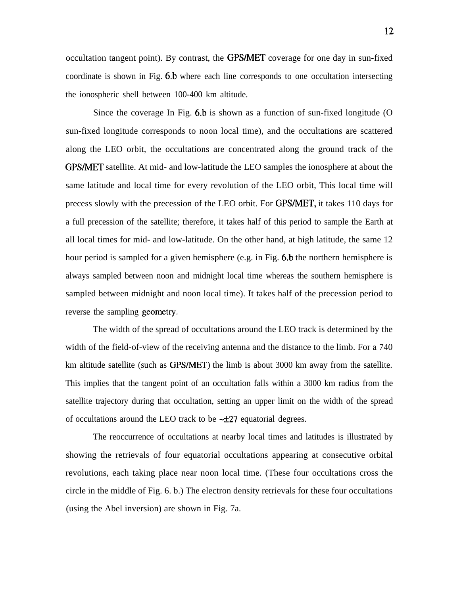occultation tangent point). By contrast, the GPS/MET coverage for one day in sun-fixed coordinate is shown in Fig. 6.b where each line corresponds to one occultation intersecting the ionospheric shell between 100-400 km altitude.

Since the coverage In Fig. 6.b is shown as a function of sun-fixed longitude (O sun-fixed longitude corresponds to noon local time), and the occultations are scattered along the LEO orbit, the occultations are concentrated along the ground track of the GPWMET satellite. At mid- and low-latitude the LEO samples the ionosphere at about the same latitude and local time for every revolution of the LEO orbit, This local time will precess slowly with the precession of the LEO orbit. For GPSIMET, it takes 110 days for a full precession of the satellite; therefore, it takes half of this period to sample the Earth at all local times for mid- and low-latitude. On the other hand, at high latitude, the same 12 hour period is sampled for a given hemisphere (e.g. in Fig. 6.b the northern hemisphere is always sampled between noon and midnight local time whereas the southern hemisphere is sampled between midnight and noon local time). It takes half of the precession period to reverse the sampling geometry.

The width of the spread of occultations around the LEO track is determined by the width of the field-of-view of the receiving antenna and the distance to the limb. For a 740 km altitude satellite (such as GPS/MET) the limb is about 3000 km away from the satellite. This implies that the tangent point of an occultation falls within a 3000 km radius from the satellite trajectory during that occultation, setting an upper limit on the width of the spread of occultations around the LEO track to be  $~\text{+}27$  equatorial degrees.

The reoccurrence of occultations at nearby local times and latitudes is illustrated by showing the retrievals of four equatorial occultations appearing at consecutive orbital revolutions, each taking place near noon local time. (These four occultations cross the circle in the middle of Fig. 6. b.) The electron density retrievals for these four occultations (using the Abel inversion) are shown in Fig. 7a.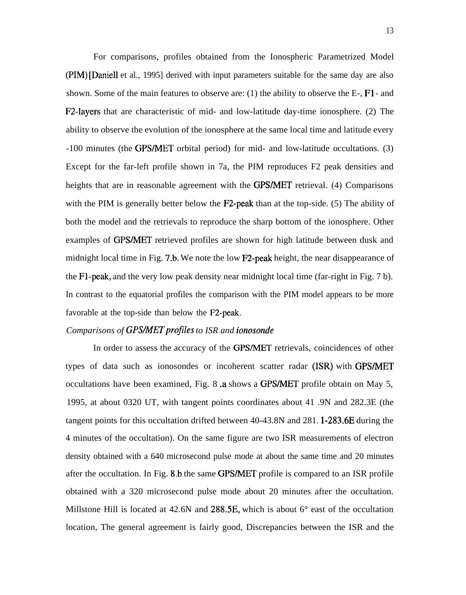For comparisons, profiles obtained from the Ionospheric Parametrized Model (PIM) [Daniell et al., 1995] derived with input parameters suitable for the same day are also shown. Some of the main features to observe are: (1) the ability to observe the E-,  $F1$ - and F2-layers that are characteristic of mid- and low-latitude day-time ionosphere. (2) The ability to observe the evolution of the ionosphere at the same local time and latitude every -100 minutes (the GPWMET orbital period) for mid- and low-latitude occultations. (3) Except for the far-left profile shown in 7a, the PIM reproduces F2 peak densities and heights that are in reasonable agreement with the GPS/MET retrieval. (4) Comparisons with the PIM is generally better below the F2-peak than at the top-side. (5) The ability of both the model and the retrievals to reproduce the sharp bottom of the ionosphere. Other examples of GPS/MET retrieved profiles are shown for high latitude between dusk and midnight local time in Fig. 7.b. We note the low F2-peak height, the near disappearance of the F1-peak, and the very low peak density near midnight local time (far-right in Fig. 7 b). In contrast to the equatorial profiles the comparison with the PIM model appears to be more favorable at the top-side than below the F2-peak,

#### *Comparisons of GPS/MET profiles to ISR and ionosonde*

In order to assess the accuracy of the GPS/MET retrievals, coincidences of other types of data such as ionosondes or incoherent scatter radar (ISR) with GPS/MET occultations have been examined, Fig. 8 .a shows a GPS/MET profile obtain on May 5, 1995, at about 0320 UT, with tangent points coordinates about 41 .9N and 282.3E (the tangent points for this occultation drifted between 40-43.8N and 281. 1-283.6E during the 4 minutes of the occultation). On the same figure are two ISR measurements of electron density obtained with a 640 microsecond pulse mode at about the same time and 20 minutes after the occultation. In Fig. 8.b the same GPS/MET profile is compared to an ISR profile obtained with a 320 microsecond pulse mode about 20 minutes after the occultation. Millstone Hill is located at 42.6N and 288.5E, which is about 6° east of the occultation location, The general agreement is fairly good, Discrepancies between the ISR and the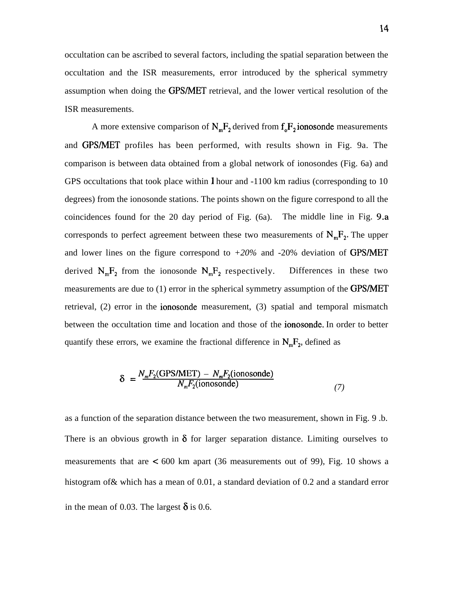occultation can be ascribed to several factors, including the spatial separation between the occultation and the ISR measurements, error introduced by the spherical symmetry assumption when doing the GPS/MET retrieval, and the lower vertical resolution of the ISR measurements.

A more extensive comparison of  $N_mF_2$  derived from  $f_0F_2$  ionosonde measurements and GPS/MET profiles has been performed, with results shown in Fig. 9a. The comparison is between data obtained from a global network of ionosondes (Fig. 6a) and GPS occultations that took place within 1 hour and -1100 km radius (corresponding to 10 degrees) from the ionosonde stations. The points shown on the figure correspond to all the coincidences found for the 20 day period of Fig. (6a). The middle line in Fig. 9.a corresponds to perfect agreement between these two measurements of  $N_{m}F_{2}$ . The upper and lower lines on the figure correspond to  $+20\%$  and  $-20\%$  deviation of GPS/MET derived  $N_mF_2$  from the ionosonde  $N_mF_2$  respectively. Differences in these two measurements are due to  $(1)$  error in the spherical symmetry assumption of the GPS/MET retrieval, (2) error in the ionosonde measurement, (3) spatial and temporal mismatch between the occultation time and location and those of the ionosonde. In order to better quantify these errors, we examine the fractional difference in  $N_mF_2$ , defined as

$$
\delta = \frac{N_m F_2(\text{GPS/MET}) - N_m F_2(\text{ionosonde})}{N_m F_2(\text{ionosonde})}
$$
(7)

as a function of the separation distance between the two measurement, shown in Fig. 9 .b. There is an obvious growth in  $\delta$  for larger separation distance. Limiting ourselves to measurements that are < 600 km apart (36 measurements out of 99), Fig. 10 shows a histogram of& which has a mean of 0.01, a standard deviation of 0.2 and a standard error in the mean of 0.03. The largest  $\delta$  is 0.6.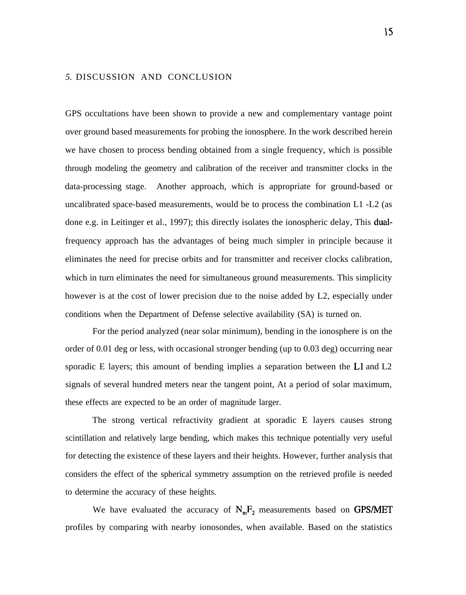#### *5.* DISCUSSION AND CONCLUSION

GPS occultations have been shown to provide a new and complementary vantage point over ground based measurements for probing the ionosphere. In the work described herein we have chosen to process bending obtained from a single frequency, which is possible through modeling the geometry and calibration of the receiver and transmitter clocks in the data-processing stage. Another approach, which is appropriate for ground-based or uncalibrated space-based measurements, would be to process the combination L1 -L2 (as done e.g. in Leitinger et al., 1997); this directly isolates the ionospheric delay, This dualfrequency approach has the advantages of being much simpler in principle because it eliminates the need for precise orbits and for transmitter and receiver clocks calibration, which in turn eliminates the need for simultaneous ground measurements. This simplicity however is at the cost of lower precision due to the noise added by L2, especially under conditions when the Department of Defense selective availability (SA) is turned on.

For the period analyzed (near solar minimum), bending in the ionosphere is on the order of 0.01 deg or less, with occasional stronger bending (up to 0.03 deg) occurring near sporadic E layers; this amount of bending implies a separation between the L1 and L2 signals of several hundred meters near the tangent point, At a period of solar maximum, these effects are expected to be an order of magnitude larger.

The strong vertical refractivity gradient at sporadic E layers causes strong scintillation and relatively large bending, which makes this technique potentially very useful for detecting the existence of these layers and their heights. However, further analysis that considers the effect of the spherical symmetry assumption on the retrieved profile is needed to determine the accuracy of these heights.

We have evaluated the accuracy of  $N_mF_2$  measurements based on GPS/MET profiles by comparing with nearby ionosondes, when available. Based on the statistics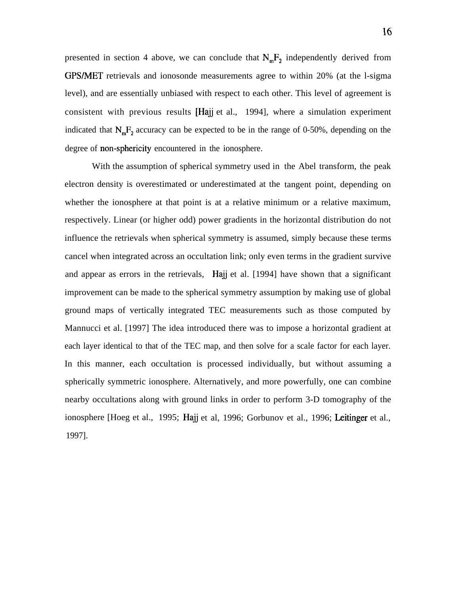presented in section 4 above, we can conclude that  $N_mF_2$  independently derived from GPS/MET retrievals and ionosonde measurements agree to within 20% (at the l-sigma level), and are essentially unbiased with respect to each other. This level of agreement is consistent with previous results [Hajj et al., 1994], where a simulation experiment indicated that  $N_mF_2$  accuracy can be expected to be in the range of 0-50%, depending on the degree of non-sphericity encountered in the ionosphere.

With the assumption of spherical symmetry used in the Abel transform, the peak electron density is overestimated or underestimated at the tangent point, depending on whether the ionosphere at that point is at a relative minimum or a relative maximum, respectively. Linear (or higher odd) power gradients in the horizontal distribution do not influence the retrievals when spherical symmetry is assumed, simply because these terms cancel when integrated across an occultation link; only even terms in the gradient survive and appear as errors in the retrievals, Hajj et al. [1994] have shown that a significant improvement can be made to the spherical symmetry assumption by making use of global ground maps of vertically integrated TEC measurements such as those computed by Mannucci et al. [1997] The idea introduced there was to impose a horizontal gradient at each layer identical to that of the TEC map, and then solve for a scale factor for each layer. In this manner, each occultation is processed individually, but without assuming a spherically symmetric ionosphere. Alternatively, and more powerfully, one can combine nearby occultations along with ground links in order to perform 3-D tomography of the ionosphere [Hoeg et al., 1995; Hajj et al, 1996; Gorbunov et al., 1996; Leitinger et al., 1997].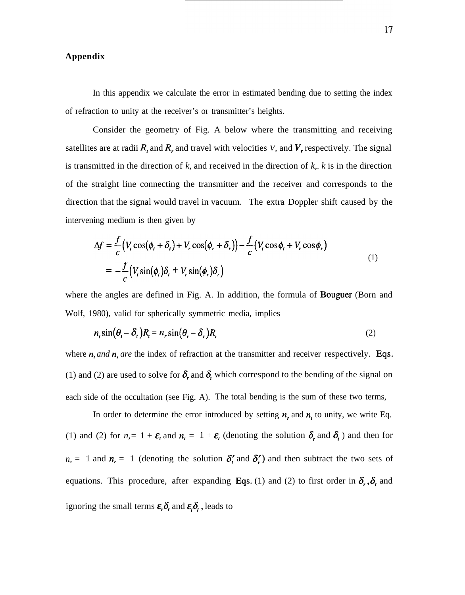# **Appendix**

In this appendix we calculate the error in estimated bending due to setting the index of refraction to unity at the receiver's or transmitter's heights.

Consider the geometry of Fig. A below where the transmitting and receiving satellites are at radii  $R_t$  and  $R_t$  and travel with velocities *V*, and  $V_t$  respectively. The signal is transmitted in the direction of *k,* and received in the direction of *k,. k* is in the direction of the straight line connecting the transmitter and the receiver and corresponds to the direction that the signal would travel in vacuum. The extra Doppler shift caused by the intervening medium is then given by

$$
\Delta f = \frac{f}{c} (V_t \cos(\phi_t + \delta_t) + V_r \cos(\phi_t + \delta_t)) - \frac{f}{c} (V_t \cos \phi_t + V_r \cos \phi_t)
$$
  
= 
$$
-\frac{f}{c} (V_t \sin(\phi_t) \delta_t + V_r \sin(\phi_t) \delta_t)
$$
 (1)

where the angles are defined in Fig. A. In addition, the formula of Bouguer (Born and Wolf, 1980), valid for spherically symmetric media, implies

$$
n_{t}\sin(\theta_{t}-\delta_{t})R_{t}=n_{r}\sin(\theta_{r}-\delta_{r})R_{t}
$$
\n(2)

where  $n_i$  and  $n_j$ , are the index of refraction at the transmitter and receiver respectively. Eqs. (1) and (2) are used to solve for  $\delta$ , and  $\delta$ , which correspond to the bending of the signal on each side of the occultation (see Fig. A). The total bending is the sum of these two terms,

In order to determine the error introduced by setting  $n<sub>r</sub>$  and  $n<sub>t</sub>$  to unity, we write Eq. (1) and (2) for  $n = 1 + \varepsilon$ , and  $n_r = 1 + \varepsilon$ , (denoting the solution  $\delta_r$  and  $\delta_t$ ) and then for  $n_1 = 1$  and  $n_r = 1$  (denoting the solution  $\delta'_r$  and  $\delta'_r$ ) and then subtract the two sets of equations. This procedure, after expanding Eqs. (1) and (2) to first order in  $\delta_r$ ,  $\delta_t$  and ignoring the small terms  $\varepsilon_r \delta_r$ , and  $\varepsilon_t \delta_t$ , leads to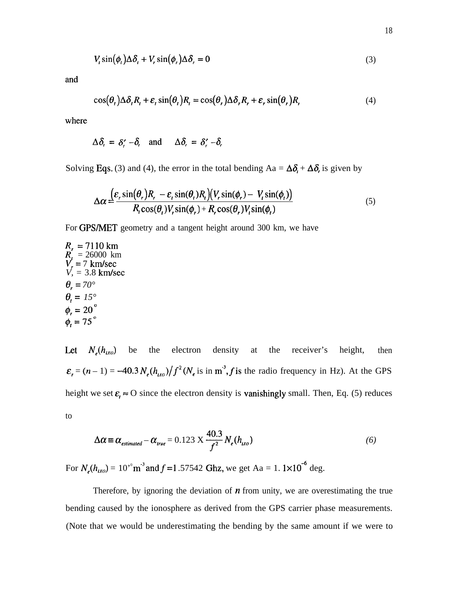$$
V_{t}\sin(\phi_{t})\Delta\delta_{t} + V_{r}\sin(\phi_{r})\Delta\delta_{r} = 0
$$
\n(3)

and

$$
\cos(\theta_t) \Delta \delta_t R_t + \varepsilon_t \sin(\theta_t) R_t = \cos(\theta_t) \Delta \delta_t R_t + \varepsilon_t \sin(\theta_t) R_t
$$
\n(4)

where

$$
\Delta \delta_i = \delta'_i - \delta_i \quad \text{and} \quad \Delta \delta_i = \delta'_i - \delta_i
$$

Solving Eqs. (3) and (4), the error in the total bending Aa =  $\Delta \delta_t + \Delta \delta$ , is given by

$$
\Delta \alpha \frac{\left[\varepsilon_{r} \sin(\theta_{r}) R_{r} - \varepsilon_{r} \sin(\theta_{r}) R_{r}\right] (V_{r} \sin(\phi_{r}) - V_{r} \sin(\phi_{r}))}{R_{r} \cos(\theta_{r}) V_{r} \sin(\phi_{r}) + R_{r} \cos(\theta_{r}) V_{r} \sin(\phi_{r})}
$$
(5)

For GPS/MET geometry and a tangent height around 300 km, we have

$$
R_r = 7110 \text{ km}
$$
  
\n
$$
R_r = 26000 \text{ km}
$$
  
\n
$$
V_r = 7 \text{ km/sec}
$$
  
\n
$$
V_r = 3.8 \text{ km/sec}
$$
  
\n
$$
\theta_r = 70^\circ
$$
  
\n
$$
\theta_r = 20^\circ
$$
  
\n
$$
\phi_r = 75^\circ
$$

Let  $N_e(h_{\mu\nu})$  be the electron density at the receiver's height, then  $\varepsilon_r = (n-1) = -40.3 N_e(h_{\mu\text{e}})/f^2(N_e \text{ is in m}^3, f \text{ is the radio frequency in Hz}).$  At the GPS height we set  $\varepsilon$   $\approx$  O since the electron density is vanishingly small. Then, Eq. (5) reduces to

$$
\Delta \alpha \equiv \alpha_{estimated} - \alpha_{true} = 0.123 \times \frac{40.3}{f^2} N_e(h_{\text{LLO}})
$$
 (6)

For  $N_e(h_{LEO}) = 10^{9} \text{m}^3$  and  $f = 1.57542$  Ghz, we get Aa = 1.  $1 \times 10^{-6}$  deg.

Therefore, by ignoring the deviation of  $n$  from unity, we are overestimating the true bending caused by the ionosphere as derived from the GPS carrier phase measurements. (Note that we would be underestimating the bending by the same amount if we were to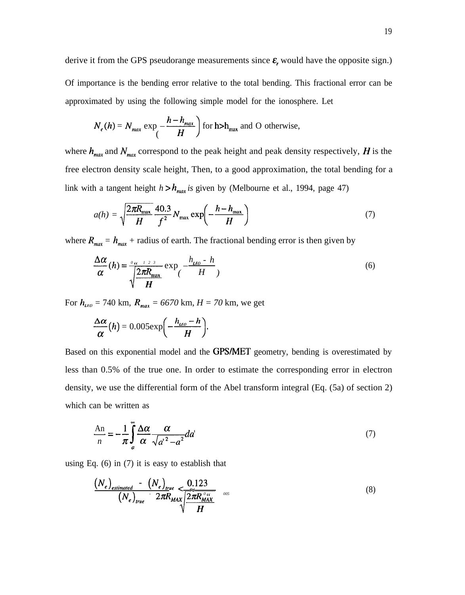derive it from the GPS pseudorange measurements since  $\varepsilon$ , would have the opposite sign.) Of importance is the bending error relative to the total bending. This fractional error can be approximated by using the following simple model for the ionosphere. Let

$$
N_e(h) = N_{max} \exp\left(-\frac{h - h_{max}}{H}\right)
$$
 for  $h > h_{max}$  and O otherwise,

where  $h_{max}$  and  $N_{max}$  correspond to the peak height and peak density respectively, H is the free electron density scale height, Then, to a good approximation, the total bending for a link with a tangent height  $h > h_{max}$  is given by (Melbourne et al., 1994, page 47) ctron density scale height, Then, to a good<br> **r** a tangent height  $h > h_{max}$  is given by (Melb<br>  $a(h) = \sqrt{\frac{2\pi R_{max}}{H}} \frac{40.3}{f^2} N_{max} \exp\left(-\frac{h - h_{max}}{H}\right)$ <br>  $- h_{max} +$  radius of earth. The fractional h

$$
a(h) = \sqrt{\frac{2\pi R_{\text{max}}}{H}} \frac{40.3}{f^2} N_{\text{max}} \exp\left(-\frac{h - h_{\text{max}}}{H}\right)
$$
(7)

where  $R_{max} = h_{max}$  + radius of earth. The fractional bending error is then given by

$$
h_{max} = h_{max} + \text{radius of earth. The fractional bending error is then given by}
$$
  
\n
$$
\frac{\Delta \alpha}{\alpha} (h) = \frac{\delta \alpha}{\sqrt{\frac{2\pi R_{max}}{H}}} \exp\left(-\frac{h_{LEO} - h}{H}\right)
$$
  
\n= 740 km,  $R_{max} = 6670$  km,  $H = 70$  km, we get

For  $h_{\text{LEO}} = 740 \text{ km}$ ,  $R_{\text{max}} = 6670 \text{ km}$ ,  $H = 70 \text{ km}$ , we get

$$
\frac{\Delta \alpha}{\alpha}(h) = 0.005 \exp\left(-\frac{h_{\text{LEO}} - h}{H}\right).
$$

Based on this exponential model and the GPS/MET geometry, bending is overestimated by less than 0.5% of the true one. In order to estimate the corresponding error in electron density, we use the differential form of the Abel transform integral (Eq. (5a) of section 2) which can be written as

$$
\frac{\text{An}}{n} = -\frac{1}{\pi} \int_{a}^{\infty} \frac{\Delta \alpha}{\alpha} \frac{\alpha}{\sqrt{a^2 - a^2}} da
$$
\n(7)

using Eq. (6) in (7) it is easy to establish that

n 
$$
n \rightarrow a
$$
  $\sim a$   $\sqrt{a^2 - a^2}$   
\n1. (6) in (7) it is easy to establish that  
\n
$$
\frac{(N_e)_{estimated} - (N_e)_{true}}{(N_e)_{true}} \frac{0.123}{2\pi R_{MAX}} \frac{2\pi R_{MAX}^{\circ}}{H}
$$
\n(8)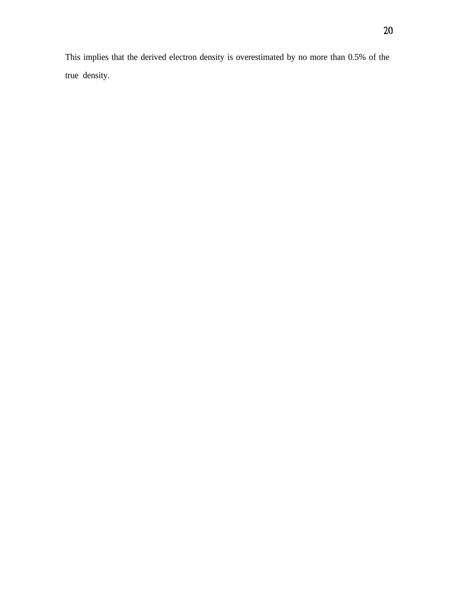This implies that the derived electron density is overestimated by no more than 0.5% of the true density.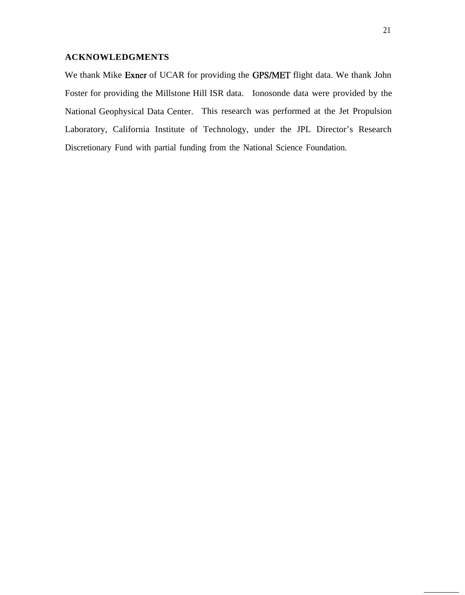# **ACKNOWLEDGMENTS**

We thank Mike Exner of UCAR for providing the GPS/MET flight data. We thank John Foster for providing the Millstone Hill ISR data. Ionosonde data were provided by the National Geophysical Data Center. This research was performed at the Jet Propulsion Laboratory, California Institute of Technology, under the JPL Director's Research Discretionary Fund with partial funding from the National Science Foundation.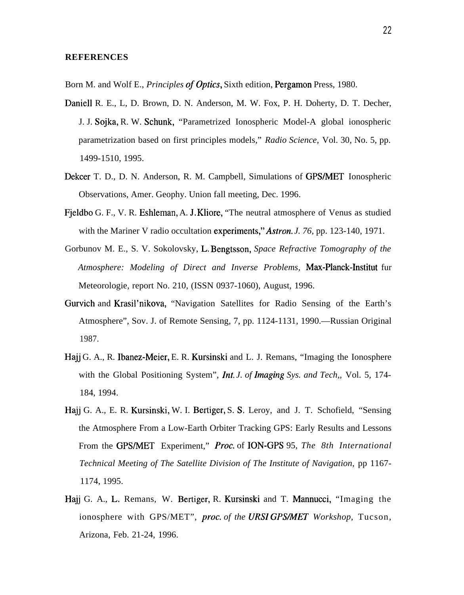#### **REFERENCES**

Born M. and Wolf E., *Principles of Optics,* Sixth edition, Pergamon Press, 1980.

- Daniell R. E., L, D. Brown, D. N. Anderson, M. W. Fox, P. H. Doherty, D. T. Decher, J. J. Sojka, R. W. Schunk, "Parametrized Ionospheric Model-A global ionospheric parametrization based on first principles models," *Radio Science,* Vol. 30, No. 5, pp. 1499-1510, 1995.
- Dekcer T. D., D. N. Anderson, R. M. Campbell, Simulations of GPS/MET Ionospheric Observations, Amer. Geophy. Union fall meeting, Dec. 1996.
- Fjeldbo G. F., V. R. Eshleman, A. J, Kliore, "The neutral atmosphere of Venus as studied with the Mariner V radio occultation experiments;' *Astron. J. 76,* pp. 123-140, 1971.
- Gorbunov M. E., S. V. Sokolovsky, L, Bengtsson, *Space Refractive Tomography of the Atmosphere: Modeling of Direct and Inverse Problems,* Max-Planck-Institut fur Meteorologie, report No. 210, (ISSN 0937-1060), August, 1996.
- Gurvich and Krasil'nikova, "Navigation Satellites for Radio Sensing of the Earth's Atmosphere", Sov. J. of Remote Sensing, 7, pp. 1124-1131, 1990.—Russian Original 1987.
- Hajj G. A., R. Ibanez-Meier, E. R. Kursinski and L. J. Remans, "Imaging the Ionosphere with the Global Positioning System", *Int. J. of Imaging Sys. and Tech.*, Vol. 5, 174-184, 1994.
- Hajj G. A., E. R. Kursinski, W. I. Bertiger, S. S. Leroy, and J. T. Schofield, "Sensing the Atmosphere From a Low-Earth Orbiter Tracking GPS: Early Results and Lessons From the GPS/MET Experiment," *Proc.* of ION-GPS 95, *The 8th International Technical Meeting of The Satellite Division of The Institute of Navigation,* pp 1167- 1174, 1995.
- Hajj G. A., L, Remans, W. Bertiger, R. Kursinski and T. Mannucci, "Imaging the ionosphere with GPS/MET", *proc. of the URSI GPS/MET Workshop*, Tucson, Arizona, Feb. 21-24, 1996.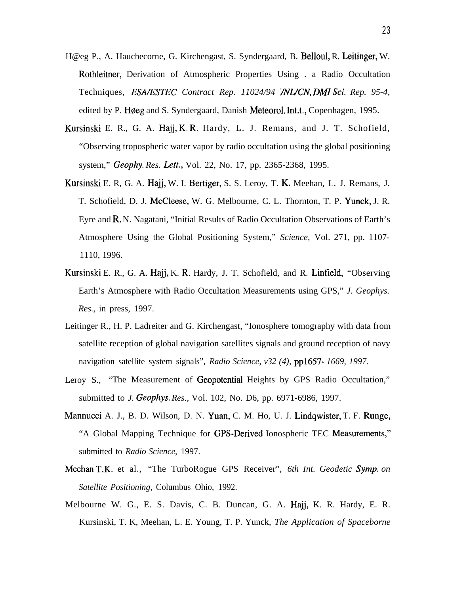- H@eg P., A. Hauchecorne, G. Kirchengast, S. Syndergaard, B. Belloul, R, Leitinger, W. Rothleitner, Derivation of Atmospheric Properties Using . a Radio Occultation Techniques, *ESAZESTEC Contract Rep. 11024/94 flL/CN, DA41 Sci. Rep. 95-4,* edited by P. Høeg and S. Syndergaard, Danish Meteorol. Int.t., Copenhagen, 1995.
- Kursinski E. R., G. A. Hajj, K. R, Hardy, L. J. Remans, and J. T. Schofield, "Observing tropospheric water vapor by radio occultation using the global positioning system," *Geophy. Res. Lett.,* Vol. 22, No. 17, pp. 2365-2368, 1995.
- Kursinski E. R, G. A. Hajj, W. I. Bertiger, S. S. Leroy, T. K. Meehan, L. J. Remans, J. T. Schofield, D. J. McCleese, W. G. Melbourne, C. L. Thornton, T. P. Yunck, J. R. Eyre and R, N. Nagatani, "Initial Results of Radio Occultation Observations of Earth's Atmosphere Using the Global Positioning System," *Science,* Vol. 271, pp. 1107- 1110, 1996.
- Kursinski E. R., G. A. Hajj, K. R. Hardy, J. T. Schofield, and R. Linfield, "Observing Earth's Atmosphere with Radio Occultation Measurements using GPS," *J. Geophys. Res.,* in press, 1997.
- Leitinger R., H. P. Ladreiter and G. Kirchengast, "Ionosphere tomography with data from satellite reception of global navigation satellites signals and ground reception of navy navigation satellite system signals", *Radio Science, v32 (4), pp1657- 1669, 1997.*
- Leroy S., "The Measurement of Geopotential Heights by GPS Radio Occultation," submitted to *J. Geophys. Res.,* Vol. 102, No. D6, pp. 6971-6986, 1997.
- Mannucci A. J., B. D. Wilson, D. N. Yuan, C. M. Ho, U. J. Lindqwister, T. F. Runge, "A Global Mapping Technique for GPS-Derived Ionospheric TEC Measurements," submitted to *Radio Science,* 1997.
- Meehan T.K. et al., "The TurboRogue GPS Receiver", *6th Int. Geodetic Symp. on Satellite Positioning,* Columbus Ohio, 1992.
- Melbourne W. G., E. S. Davis, C. B. Duncan, G. A. Hajj, K. R. Hardy, E. R. Kursinski, T. K, Meehan, L. E. Young, T. P. Yunck, *The Application of Spaceborne*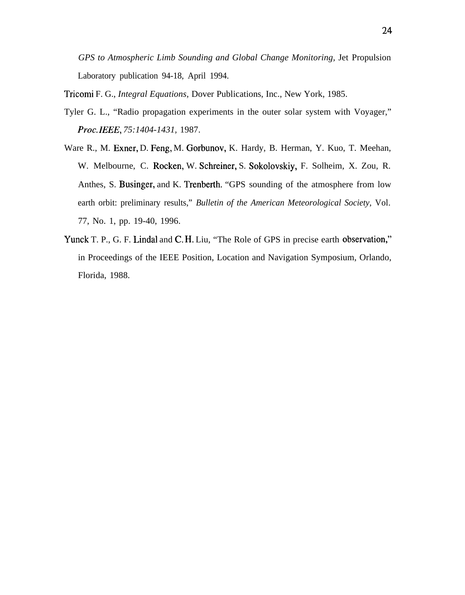*GPS to Atmospheric Limb Sounding and Global Change Monitoring,* Jet Propulsion Laboratory publication 94-18, April 1994.

Tricomi F. G., *Integral Equations,* Dover Publications, Inc., New York, 1985.

- Tyler G. L., "Radio propagation experiments in the outer solar system with Voyager," *Proc. ZEEE, 75:1404-1431,* 1987.
- Ware R., M. Exner, D. Feng, M. Gorbunov, K. Hardy, B. Herman, Y. Kuo, T. Meehan, W. Melbourne, C. Rocken, W. Schreiner, S. \$okolovskiy, F. Solheim, X. Zou, R. Anthes, S. Businger, and K. Trenberth. "GPS sounding of the atmosphere from low earth orbit: preliminary results," *Bulletin of the American Meteorological Society,* Vol. 77, No. 1, pp. 19-40, 1996.
- Yunck T. P., G. F. Lindal and C. H. Liu, "The Role of GPS in precise earth observation," in Proceedings of the IEEE Position, Location and Navigation Symposium, Orlando, Florida, 1988.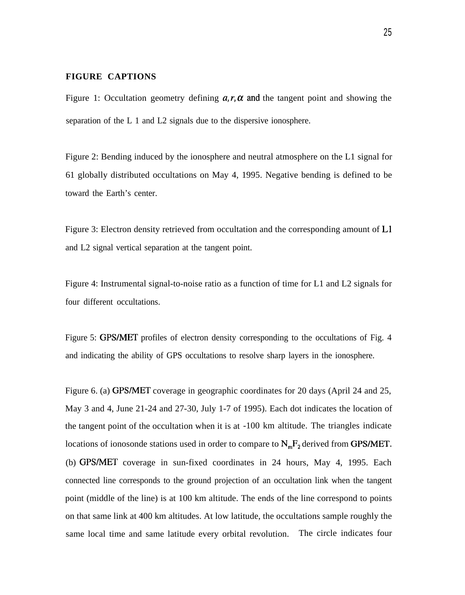#### **FIGURE CAPTIONS**

Figure 1: Occultation geometry defining  $a, r, \alpha$  and the tangent point and showing the separation of the L 1 and L2 signals due to the dispersive ionosphere.

Figure 2: Bending induced by the ionosphere and neutral atmosphere on the L1 signal for 61 globally distributed occultations on May 4, 1995. Negative bending is defined to be toward the Earth's center.

Figure 3: Electron density retrieved from occultation and the corresponding amount of L1 and L2 signal vertical separation at the tangent point.

Figure 4: Instrumental signal-to-noise ratio as a function of time for L1 and L2 signals for four different occultations.

Figure 5: GPS/MET profiles of electron density corresponding to the occultations of Fig. 4 and indicating the ability of GPS occultations to resolve sharp layers in the ionosphere.

Figure 6. (a) GPS/MET coverage in geographic coordinates for 20 days (April 24 and 25, May 3 and 4, June 21-24 and 27-30, July 1-7 of 1995). Each dot indicates the location of the tangent point of the occultation when it is at -100 km altitude. The triangles indicate locations of ionosonde stations used in order to compare to  $N_mF_2$  derived from GPS/MET. (b) GPSM4ET coverage in sun-fixed coordinates in 24 hours, May 4, 1995. Each connected line corresponds to the ground projection of an occultation link when the tangent point (middle of the line) is at 100 km altitude. The ends of the line correspond to points on that same link at 400 km altitudes. At low latitude, the occultations sample roughly the same local time and same latitude every orbital revolution. The circle indicates four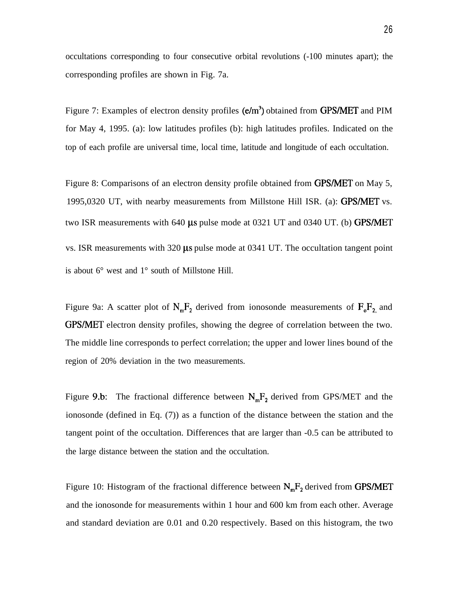occultations corresponding to four consecutive orbital revolutions (-100 minutes apart); the corresponding profiles are shown in Fig. 7a.

Figure 7: Examples of electron density profiles  $(e/m<sup>3</sup>)$  obtained from GPS/MET and PIM for May 4, 1995. (a): low latitudes profiles (b): high latitudes profiles. Indicated on the top of each profile are universal time, local time, latitude and longitude of each occultation.

Figure 8: Comparisons of an electron density profile obtained from GPS/MET on May 5, 1995,0320 UT, with nearby measurements from Millstone Hill ISR. (a): **GPS/MET** vs. two ISR measurements with 640  $\mu$ s pulse mode at 0321 UT and 0340 UT. (b) GPS/MET vs. ISR measurements with  $320 \mu s$  pulse mode at 0341 UT. The occultation tangent point is about 6° west and 1° south of Millstone Hill.

Figure 9a: A scatter plot of  $N_{m}F_{2}$  derived from ionosonde measurements of  $F_{0}F_{2}$  and GPMMET electron density profiles, showing the degree of correlation between the two. The middle line corresponds to perfect correlation; the upper and lower lines bound of the region of 20% deviation in the two measurements.

Figure 9.b: The fractional difference between  $N_mF_2$  derived from GPS/MET and the ionosonde (defined in Eq. (7)) as a function of the distance between the station and the tangent point of the occultation. Differences that are larger than -0.5 can be attributed to the large distance between the station and the occultation.

Figure 10: Histogram of the fractional difference between  $N_mF_2$  derived from GPS/MET and the ionosonde for measurements within 1 hour and 600 km from each other. Average and standard deviation are 0.01 and 0.20 respectively. Based on this histogram, the two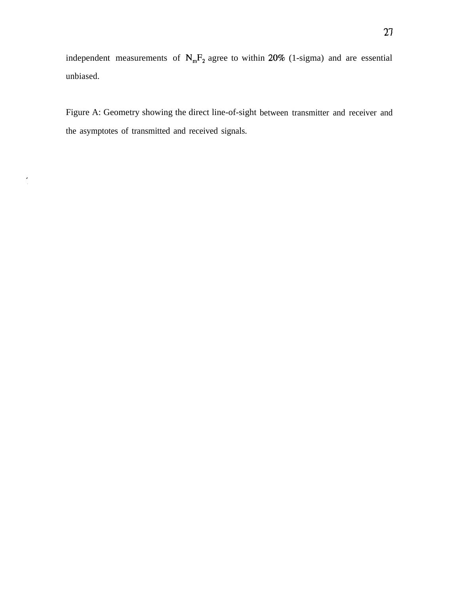independent measurements of  $N_mF_2$  agree to within 20% (1-sigma) and are essential unbiased.

Figure A: Geometry showing the direct line-of-sight between transmitter and receiver andthe asymptotes of transmitted and received signals.

 $\frac{1}{2}$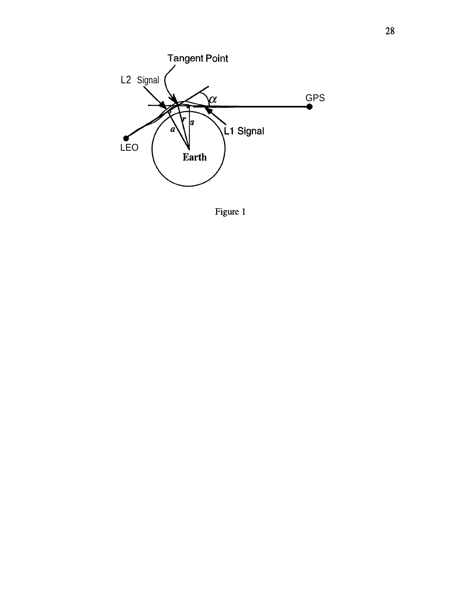

Figure 1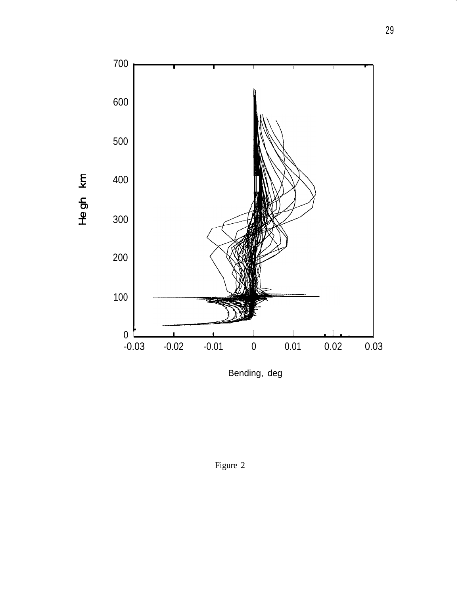

Bending, deg

Figure 2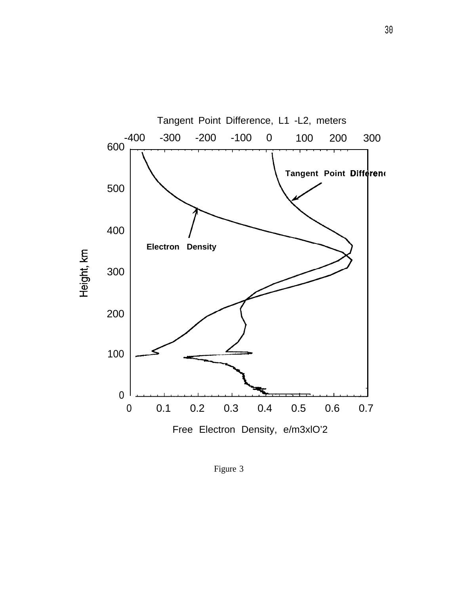

Figure 3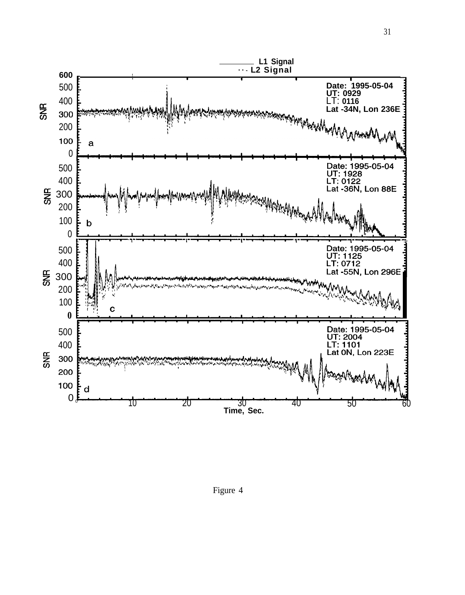

Figure 4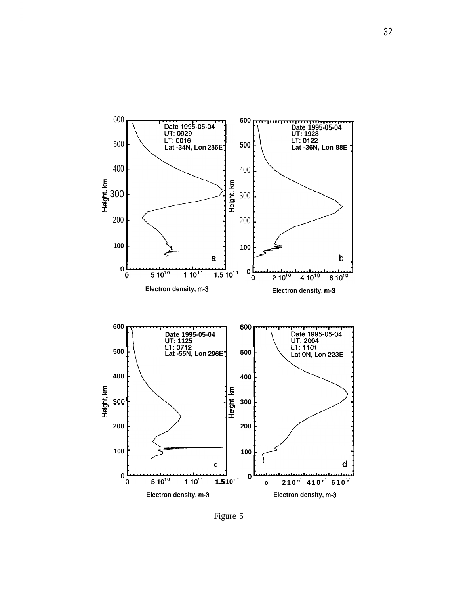

Figure 5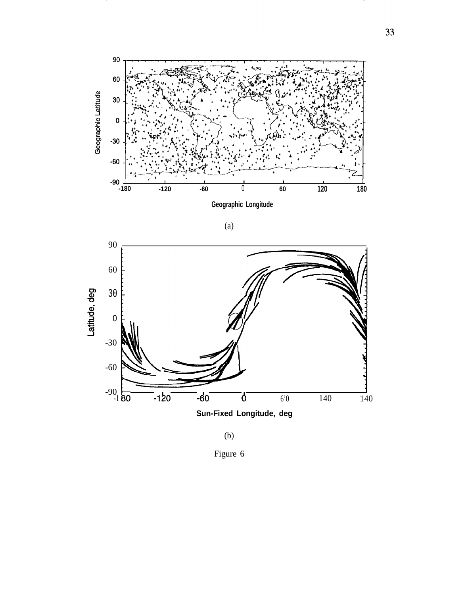







Figure 6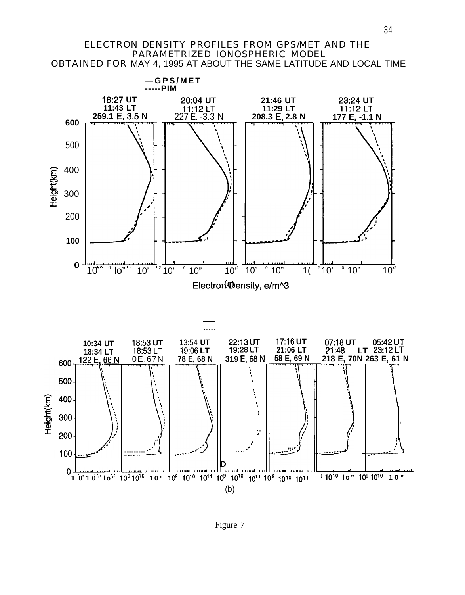# **ELECTRON DENSITY PROFILES FROM GPS/MET AND THE** PARAMETRIZED IONOSPHERIC MODEL

**OBTAINED FOR MAY 4, 1995 AT ABOUT THE SAME LATITUDE AND LOCAL TIME** 



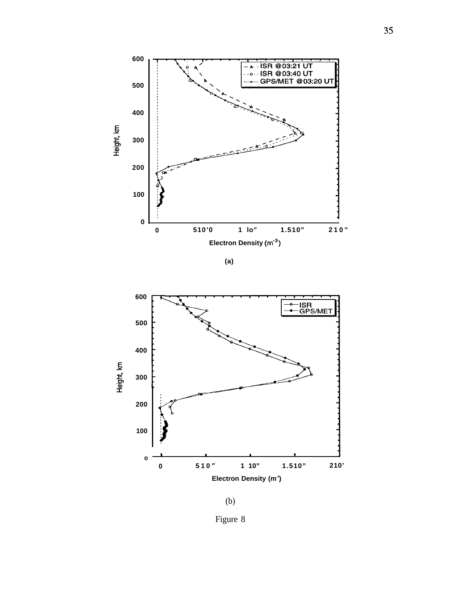





Figure 8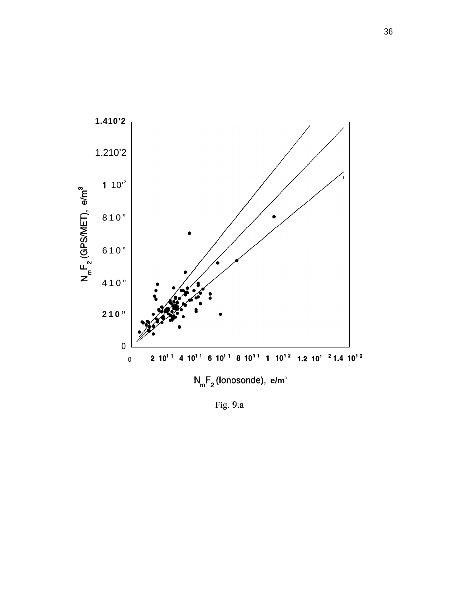

Fig. 9.a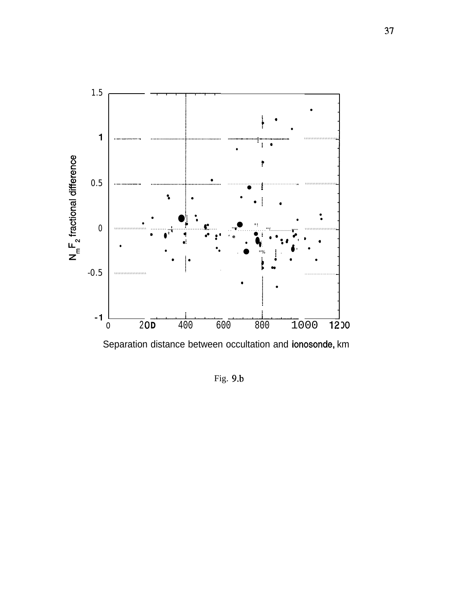

Fig. 9.b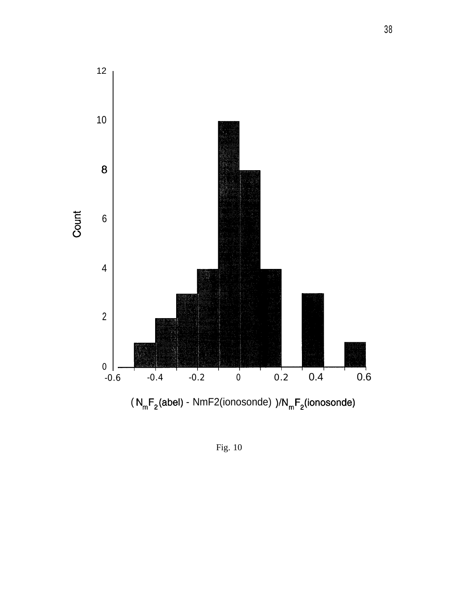

Fig. 10